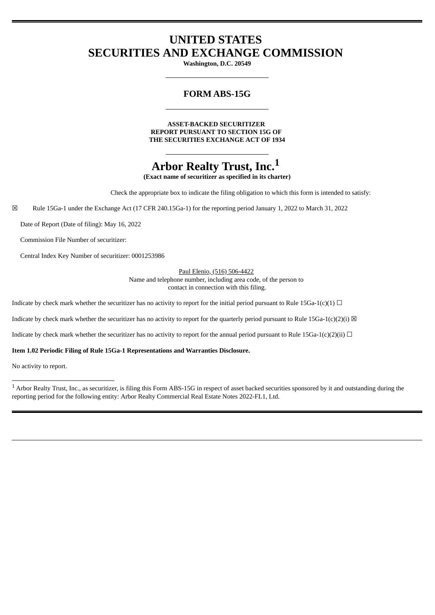# **UNITED STATES SECURITIES AND EXCHANGE COMMISSION**

**Washington, D.C. 20549**

## **FORM ABS-15G**

**ASSET-BACKED SECURITIZER REPORT PURSUANT TO SECTION 15G OF THE SECURITIES EXCHANGE ACT OF 1934**

# **Arbor Realty Trust, Inc.<sup>1</sup>**

**(Exact name of securitizer as specified in its charter)**

Check the appropriate box to indicate the filing obligation to which this form is intended to satisfy:

☒ Rule 15Ga-1 under the Exchange Act (17 CFR 240.15Ga-1) for the reporting period January 1, 2022 to March 31, 2022

Date of Report (Date of filing): May 16, 2022

Commission File Number of securitizer:

Central Index Key Number of securitizer: 0001253986

Paul Elenio, (516) 506-4422 Name and telephone number, including area code, of the person to contact in connection with this filing.

Indicate by check mark whether the securitizer has no activity to report for the initial period pursuant to Rule 15Ga-1(c)(1)  $\Box$ 

Indicate by check mark whether the securitizer has no activity to report for the quarterly period pursuant to Rule 15Ga-1(c)(2)(i)  $\boxtimes$ 

Indicate by check mark whether the securitizer has no activity to report for the annual period pursuant to Rule 15Ga-1(c)(2)(ii)  $\Box$ 

#### **Item 1.02 Periodic Filing of Rule 15Ga-1 Representations and Warranties Disclosure.**

No activity to report.

<sup>1</sup> Arbor Realty Trust, Inc., as securitizer, is filing this Form ABS-15G in respect of asset backed securities sponsored by it and outstanding during the reporting period for the following entity: Arbor Realty Commercial Real Estate Notes 2022-FL1, Ltd.